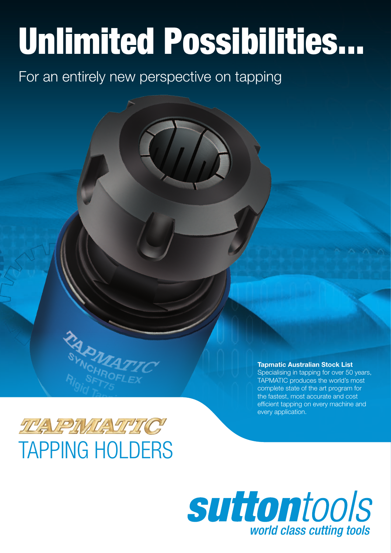# Unlimited Possibilities...

For an entirely new perspective on tapping



TAPMATIC produces the world's most complete state of the art program for the fastest, most accurate and cost efficient tapping on every machine and every application.



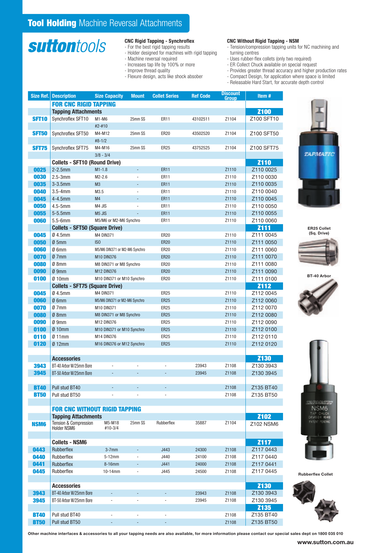### **suttontools**

#### CNC Rigid Tapping - Synchroflex

- For the best rigid tapping results
- Holder designed for machines with rigid tapping
- Machine reversal required
- Increases tap life by 100% or more
- Improve thread quality
- Flexure design, acts like shock absober

### CNC Without Rigid Tapping - NSM

- Tension/compression tapping units for NC machining and turning centres
- Uses rubber-flex collets (only two required)
- ER Collect Chuck available on special request
- Provides greater thread accuracy and higher production rates
- Compact Design, for application where space is limited
- Releasable Hard Start, for accurate depth control

| Size Ref.    | <b>Description</b>                    | <b>Size Capacity</b>          | <b>Mount</b>             | <b>Collet Series</b>         | <b>Ref Code</b> | <b>Discount</b><br>Group | Item#       |
|--------------|---------------------------------------|-------------------------------|--------------------------|------------------------------|-----------------|--------------------------|-------------|
|              | <b>FOR CNC RIGID TAPPING</b>          |                               |                          |                              |                 |                          |             |
|              | <b>Tapping Attachments</b>            |                               |                          |                              |                 |                          | <b>Z100</b> |
| <b>SFT10</b> | Synchroflex SFT10                     | M1-M6                         | 25mm SS                  | <b>ER11</b>                  | 43102511        | Z1104                    | Z100 SFT10  |
|              |                                       | #2-#10                        |                          |                              |                 |                          |             |
| <b>SFT50</b> | Synchroflex SFT50                     | M4-M12                        | 25mm SS                  | <b>ER20</b>                  | 43502520        | Z1104                    | Z100 SFT50  |
|              |                                       | $#8-1/2$                      |                          |                              |                 |                          |             |
| <b>SFT75</b> | Synchroflex SFT75                     | M4-M16                        | 25mm SS                  | <b>ER25</b>                  | 43752525        | Z1104                    | Z100 SFT75  |
|              |                                       | $3/8 - 3/4$                   |                          |                              |                 |                          |             |
|              | <b>Collets - SFT10 (Round Drive)</b>  |                               |                          |                              |                 |                          | <b>Z110</b> |
| 0025         | $2-2.5$ mm                            | $M1 - 1.8$                    | $\overline{\phantom{a}}$ | <b>ER11</b>                  |                 | Z1110                    | Z110 0025   |
| 0030         | $2.5 - 3mm$                           | $M2 - 2.6$                    | ÷,                       | <b>ER11</b>                  |                 | Z1110                    | Z110 0030   |
| 0035         | $3-3.5$ mm                            | M <sub>3</sub>                | ÷,                       | <b>ER11</b>                  |                 | Z1110                    | Z110 0035   |
| 0040         | $3.5 - 4mm$                           | M3.5                          | $\overline{\phantom{a}}$ | <b>ER11</b>                  |                 | Z1110                    | Z110 0040   |
| 0045         | $4-4.5$ mm                            | M4                            | ÷,                       | <b>ER11</b>                  |                 | Z1110                    | Z110 0045   |
| 0050         | $4.5 - 5$ mm                          | M4 JIS                        |                          | <b>ER11</b>                  |                 | Z1110                    | Z110 0050   |
| 0055         | $5-5.5$ mm                            | M <sub>5</sub> JIS            |                          | <b>ER11</b>                  |                 | Z1110                    | Z110 0055   |
| 0060         | $5.5 - 6$ mm                          | M5/M6 or M2-M6 Synchro        |                          | <b>ER11</b>                  |                 | Z1110                    | Z110 0060   |
|              | <b>Collets - SFT50 (Square Drive)</b> |                               |                          |                              |                 |                          | <b>Z111</b> |
| 0045         | $Ø$ 4.5mm                             | <b>M4 DIN371</b>              |                          | <b>ER20</b>                  |                 | Z1110                    | Z111 0045   |
| 0050         | Ø5mm                                  | IS <sub>0</sub>               |                          | <b>ER20</b>                  |                 | Z1110                    | Z111 0050   |
| 0060         | Ø 6mm                                 | M5/M6 DIN371 or M2-M6 Synchro |                          | <b>ER20</b>                  |                 | Z1110                    | Z111 0060   |
| 0070         | Ø7mm                                  | <b>M10 DIN376</b>             |                          | <b>ER20</b>                  |                 | Z1110                    | Z111 0070   |
| 0080         | $Ø$ 8mm                               | M8 DIN371 or M8 Synchro       |                          | <b>ER20</b>                  |                 | Z1110                    | Z111 0080   |
| 0090         | $Ø$ 9mm                               | M12 DIN376                    |                          | <b>ER20</b>                  |                 | Z1110                    | Z111 0090   |
| 0100         | $Ø$ 10mm                              | M10 DIN371 or M10 Synchro     |                          | <b>ER20</b>                  |                 | Z1110                    | Z111 0100   |
|              | <b>Collets - SFT75 (Square Drive)</b> |                               |                          |                              |                 |                          | <b>Z112</b> |
| 0045         | $Ø$ 4.5mm                             | <b>M4 DIN371</b>              |                          | <b>ER25</b>                  |                 | Z1110                    | Z112 0045   |
| 0060         | $Ø$ 6mm                               | M5/M6 DIN371 or M2-M6 Synchro |                          | <b>ER25</b>                  |                 | Z1110                    | Z112 0060   |
| 0070         | Ø7mm                                  | M10 DIN371                    |                          | <b>ER25</b>                  |                 | Z1110                    | Z112 0070   |
| 0080         | $Ø$ 8mm                               | M8 DIN371 or M8 Synchro       |                          | <b>ER25</b>                  |                 | Z1110                    | Z112 0080   |
| 0090         | $Ø$ 9mm                               | M12 DIN376                    |                          | <b>ER25</b>                  |                 | Z1110                    | Z112 0090   |
| 0100         | $Ø$ 10mm                              | M10 DIN371 or M10 Synchro     |                          | <b>ER25</b>                  |                 | Z1110                    | Z112 0100   |
| 0110         | $\emptyset$ 11mm                      | M14 DIN376                    |                          | <b>ER25</b>                  |                 | Z1110                    | Z112 0110   |
| 0120         | $Ø$ 12 $mm$                           | M16 DIN376 or M12 Synchro     |                          | <b>ER25</b>                  |                 | Z1110                    | Z112 0120   |
|              |                                       |                               |                          |                              |                 |                          |             |
|              | <b>Accessories</b>                    |                               |                          |                              |                 |                          | <b>Z130</b> |
| 3943         | BT-40 Arbor W/25mm Bore               |                               |                          |                              | 23943           | Z1108                    | Z130 3943   |
| 3945         | BT-50 Arbor W/25mm Bore               |                               |                          |                              | 23945           | Z1108                    | Z130 3945   |
|              |                                       |                               |                          |                              |                 |                          |             |
| <b>BT40</b>  | Pull stud BT40                        |                               |                          |                              |                 | Z1108                    | Z135 BT40   |
| <b>BT50</b>  | Pull stud BT50                        |                               |                          |                              |                 | Z1108                    | Z135 BT50   |
|              |                                       |                               |                          |                              |                 |                          |             |
|              | <b>FOR CNC WITHOUT RIGID TAPPING</b>  |                               |                          |                              |                 |                          |             |
|              | <b>Tapping Attachments</b>            |                               |                          |                              |                 |                          | <b>Z102</b> |
| <b>NSM6</b>  | <b>Tension &amp; Compression</b>      | M5-M18                        | 25mm SS                  | Rubberflex                   | 35887           | Z1104                    | Z102 NSM6   |
|              | Holder NSM6                           | #10-3/4                       |                          |                              |                 |                          |             |
|              |                                       |                               |                          |                              |                 |                          |             |
|              | <b>Collets - NSM6</b>                 |                               |                          |                              |                 |                          | <b>Z117</b> |
| 0443         | <b>Rubberflex</b>                     | $3-7$ mm                      | ÷,                       | J443                         | 24300           | Z1108                    | Z117 0443   |
| 0440         | Rubberflex                            | 5-12mm                        | $\overline{\phantom{a}}$ | J440                         | 24100           | Z1108                    | Z117 0440   |
| 0441         | Rubberflex                            | $8-16$ mm                     | ÷,                       | J441                         | 24000           | Z1108                    | Z117 0441   |
| 0445         | Rubberflex                            | 10-14mm                       | $\frac{1}{2}$            | J445                         | 24500           | Z1108                    | Z117 0445   |
|              |                                       |                               |                          |                              |                 |                          |             |
|              | <b>Accessories</b>                    |                               |                          |                              |                 |                          | <b>Z130</b> |
| 3943         | BT-40 Arbor W/25mm Bore               |                               |                          |                              | 23943           | Z1108                    | Z130 3943   |
| 3945         | BT-50 Arbor W/25mm Bore               | $\qquad \qquad \blacksquare$  | ÷,                       | $\blacksquare$               | 23945           | Z1108                    | Z130 3945   |
|              |                                       |                               |                          |                              |                 |                          | <b>Z135</b> |
| <b>BT40</b>  | Pull stud BT40                        | ÷,                            | $\blacksquare$           | $\overline{\phantom{a}}$     |                 | Z1108                    | Z135 BT40   |
| <b>BT50</b>  | Pull stud BT50                        | ÷                             | ÷,                       | $\qquad \qquad \blacksquare$ |                 | Z1108                    | Z135 BT50   |



ER25 Collet (Sq. Drive)







Rubberflex Collet



Other machine interfaces & accessories to all your tapping needs are also available, for more information please contact our special sales dept on 1800 035 010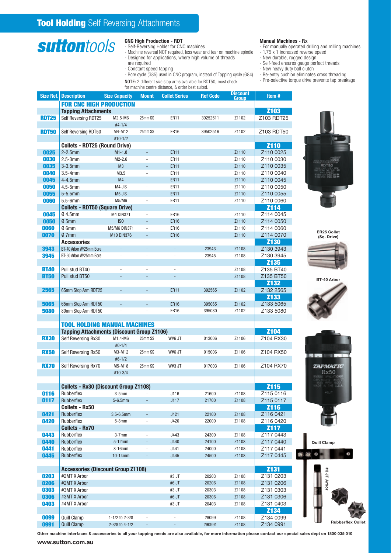### **suttontools**

#### CNC High Production - RDT

- Self-Reversing Holder for CNC machines
- Machine reversal NOT required, less wear and tear on machine spindle
- Designed for applications, where high volume of threads
- are required - Constant speed tapping
- Bore cycle (G85) used in CNC program, instead of Tapping cycle (G84)
- NOTE: 2 different size stop arms available for RDT50, must check
- 

### Manual Machines - Rx

- For manually operated drilling and milling machines - 1.75 x 1 increased reverse speed
- New durable, rugged design
- Self-feed ensures gauge perfect threads
- New heavy duty ball clutch
- Re-entry cushion eliminates cross threading
- Pre-selective torque drive prevents tap breakage

|              |                                                   |                          |                          | for machine centre distance, & order best suited. |                 |                          |                   |                                   |
|--------------|---------------------------------------------------|--------------------------|--------------------------|---------------------------------------------------|-----------------|--------------------------|-------------------|-----------------------------------|
| Size Ref.    | <b>Description</b>                                | <b>Size Capacity</b>     | <b>Mount</b>             | <b>Collet Series</b>                              | <b>Ref Code</b> | <b>Discount</b><br>Group | Item#             |                                   |
|              | <b>FOR CNC HIGH PRODUCTION</b>                    |                          |                          |                                                   |                 |                          |                   |                                   |
|              | <b>Tapping Attachments</b>                        |                          |                          |                                                   |                 |                          | <b>Z103</b>       |                                   |
| <b>RDT25</b> | Self Reversing RDT25                              | M2.5-M6                  | 25mm SS                  | ER11                                              | 39252511        | Z1102                    | Z103 RDT25        |                                   |
|              |                                                   | $#4 - 1/4$               |                          |                                                   |                 |                          |                   |                                   |
| <b>RDT50</b> | Self Reversing RDT50                              | M4-M12                   | 25mm SS                  | <b>ER16</b>                                       | 39502516        | Z1102                    | Z103 RDT50        |                                   |
|              |                                                   | $#10-1/2$                |                          |                                                   |                 |                          |                   |                                   |
|              | <b>Collets - RDT25 (Round Drive)</b>              |                          |                          |                                                   |                 |                          | <b>Z110</b>       |                                   |
| 0025         | $2-2.5$ mm                                        | $M1-1.8$                 |                          | <b>ER11</b>                                       |                 | Z1110                    | Z110 0025         |                                   |
| 0030         | $2.5 - 3$ mm                                      | $M2-2.6$                 | ä,                       | ER11                                              |                 | Z1110                    | Z110 0030         |                                   |
|              |                                                   | M3                       |                          | <b>ER11</b>                                       |                 |                          |                   |                                   |
| 0035         | $3-3.5$ mm                                        |                          | ÷,                       |                                                   |                 | Z1110                    | Z110 0035         |                                   |
| 0040         | $3.5 - 4mm$                                       | M3.5                     |                          | ER11                                              |                 | Z1110                    | Z110 0040         |                                   |
| 0045         | 4-4.5mm                                           | M4                       |                          | <b>ER11</b>                                       |                 | Z1110                    | Z110 0045         |                                   |
| 0050         | $4.5 - 5$ mm                                      | M4 JIS                   | ä,                       | ER11                                              |                 | Z1110                    | Z110 0050         |                                   |
| 0055         | $5-5.5$ mm                                        | M <sub>5</sub> JIS       | $\overline{a}$           | <b>ER11</b>                                       |                 | Z1110                    | Z110 0055         |                                   |
| 0060         | $5.5 - 6$ mm                                      | M5/M6                    | ÷,                       | ER11                                              |                 | Z1110                    | Z110 0060         |                                   |
|              | <b>Collets - RDT50 (Square Drive)</b>             |                          |                          |                                                   |                 |                          | <b>Z114</b>       |                                   |
| 0045         | 04.5mm                                            | <b>M4 DIN371</b>         | ä,                       | <b>ER16</b>                                       |                 | Z1110                    | Z114 0045         |                                   |
| 0050         | Ø5mm                                              | IS <sub>0</sub>          |                          | <b>ER16</b>                                       |                 | Z1110                    | Z114 0050         |                                   |
| 0060         | Ø 6mm                                             | M5/M6 DIN371             | $\overline{\phantom{a}}$ | <b>ER16</b>                                       |                 | Z1110                    | Z114 0060         |                                   |
| 0070         | Ø7mm                                              | <b>M10 DIN376</b>        |                          | <b>ER16</b>                                       |                 | Z1110                    | Z114 0070         | <b>ER25 Collet</b><br>(Sq. Drive) |
|              | <b>Accessories</b>                                |                          |                          |                                                   |                 |                          | <b>Z130</b>       |                                   |
| 3943         | BT-40 Arbor W/25mm Bore                           |                          |                          | ÷.                                                | 23943           | Z1108                    | Z130 3943         |                                   |
| 3945         | BT-50 Arbor W/25mm Bore                           | $\overline{\phantom{a}}$ | ÷,                       | $\bar{a}$                                         | 23945           | Z1108                    | Z130 3945         |                                   |
|              |                                                   |                          |                          |                                                   |                 |                          | <b>Z135</b>       |                                   |
| <b>BT40</b>  | Pull stud BT40                                    | ÷.                       | ÷,                       | $\bar{a}$                                         |                 | Z1108                    | Z135 BT40         |                                   |
| <b>BT50</b>  | Pull stud BT50                                    |                          |                          |                                                   |                 | Z1108                    | Z135 BT50         |                                   |
|              |                                                   |                          |                          |                                                   |                 |                          | <b>Z132</b>       | BT-40 Arbor                       |
| 2565         | 65mm Stop Arm RDT25                               |                          |                          | <b>ER11</b>                                       | 392565          | Z1102                    | Z132 2565         |                                   |
|              |                                                   |                          |                          |                                                   |                 |                          | <b>Z133</b>       |                                   |
| 5065         | 65mm Stop Arm RDT50                               |                          |                          | <b>ER16</b>                                       | 395065          | Z1102                    | Z133 5065         |                                   |
|              |                                                   |                          |                          |                                                   |                 |                          | Z133 5080         |                                   |
| 5080         | 80mm Stop Arm RDT50                               | $\overline{\phantom{a}}$ | $\sim$                   | <b>ER16</b>                                       | 395080          | Z1102                    |                   |                                   |
|              |                                                   |                          |                          |                                                   |                 |                          |                   |                                   |
|              | <b>TOOL HOLDING MANUAL MACHINES</b>               |                          |                          |                                                   |                 |                          |                   |                                   |
|              | <b>Tapping Attachments (Discount Group Z1106)</b> |                          |                          |                                                   |                 |                          | <b>Z104</b>       |                                   |
| <b>RX30</b>  | Self Reversing Rx30                               | M1.4-M6                  | 25mm SS                  | W#6 JT                                            | 013006          | Z1106                    | Z104 RX30         |                                   |
|              |                                                   | $#0-1/4$                 |                          |                                                   |                 |                          |                   |                                   |
| <b>RX50</b>  | Self Reversing Rx50                               | M3-M12                   | 25mm SS                  | W#6 JT                                            | 015006          | Z1106                    | Z104 RX50         |                                   |
|              |                                                   | $#6-1/2$                 |                          |                                                   |                 |                          |                   |                                   |
| <b>RX70</b>  | Self Reversing Rx70                               | M5-M18                   | 25mm SS                  | W#3 JT                                            | 017003          | Z1106                    | Z104 RX70         | <i><b>TAPMATIC</b></i>            |
|              |                                                   | #10-3/4                  |                          |                                                   |                 |                          |                   | Rx50                              |
|              |                                                   |                          |                          |                                                   |                 |                          |                   |                                   |
|              | <b>Collets - Rx30 (Discount Group Z1108)</b>      |                          |                          |                                                   |                 |                          | $\overline{2115}$ |                                   |
| 0116         | Rubberflex                                        | $3-5mm$                  |                          | J116                                              | 21600           | Z1108                    | Z115 0116         |                                   |
| 0117         | Rubberflex                                        | $5-6.5$ mm               |                          | J117                                              | 21700           | Z1108                    | Z115 0117         |                                   |
|              | Collets - Rx50                                    |                          |                          |                                                   |                 |                          | <b>Z116</b>       |                                   |
| 0421         | Rubberflex                                        | $3.5 - 6.5$ mm           | ÷,                       | J421                                              | 22100           | Z1108                    | Z116 0421         |                                   |
| 0420         | Rubberflex                                        | $5-8mm$                  | $\overline{\phantom{a}}$ | J420                                              | 22000           | Z1108                    | Z116 0420         |                                   |
|              | <b>Collets - Rx70</b>                             |                          |                          |                                                   |                 |                          | <b>Z117</b>       |                                   |
| 0443         | Rubberflex                                        | $3-7mm$                  | $\overline{\phantom{a}}$ | J443                                              | 24300           | Z1108                    | Z117 0443         |                                   |
| 0440         | Rubberflex                                        | $5-12$ mm                |                          | J440                                              | 24100           | Z1108                    | Z117 0440         | <b>Quill Clamp</b>                |
| 0441         | Rubberflex                                        | 8-16mm                   | $\overline{\phantom{a}}$ | J441                                              | 24000           | Z1108                    | Z117 0441         |                                   |
| 0445         | Rubberflex                                        | 10-14mm                  |                          | J445                                              | 24500           | Z1108                    | Z117 0445         |                                   |
|              |                                                   |                          |                          |                                                   |                 |                          |                   |                                   |
|              | <b>Accessories (Discount Group Z1108)</b>         |                          |                          |                                                   |                 |                          | <b>Z131</b>       |                                   |
| 0203         | #2MT X Arbor                                      |                          |                          | #3 JT                                             | 20203           | Z1108                    | Z131 0203         | #3 JT Arbor                       |
| 0206         | #2MT X Arbor                                      |                          |                          | #6 JT                                             | 20206           | Z1108                    | Z131 0206         |                                   |
| 0303         | #3MT X Arbor                                      |                          |                          | #3 JT                                             | 20303           | Z1108                    | Z131 0303         |                                   |
| 0306         | #3MT X Arbor                                      |                          |                          | #6 JT                                             | 20306           | Z1108                    | Z131 0306         |                                   |
| 0403         |                                                   |                          |                          | #3 JT                                             | 20403           |                          | Z131 0403         |                                   |
|              | #4MT X Arbor                                      |                          |                          |                                                   |                 | Z1108                    |                   |                                   |
|              |                                                   |                          |                          |                                                   |                 |                          | <b>Z134</b>       |                                   |
| 0099         | <b>Quill Clamp</b>                                | 1-1/2 to 2-3/8           | $\overline{\phantom{a}}$ | $\overline{\phantom{a}}$                          | 29099           | Z1108                    | Z134 0099         | <b>Rubberflex Colle</b>           |
| 0991         | <b>Quill Clamp</b>                                | 2-3/8 to 4-1/2           | $\sim$                   | $\blacksquare$                                    | 290991          | Z1108                    | Z134 0991         |                                   |